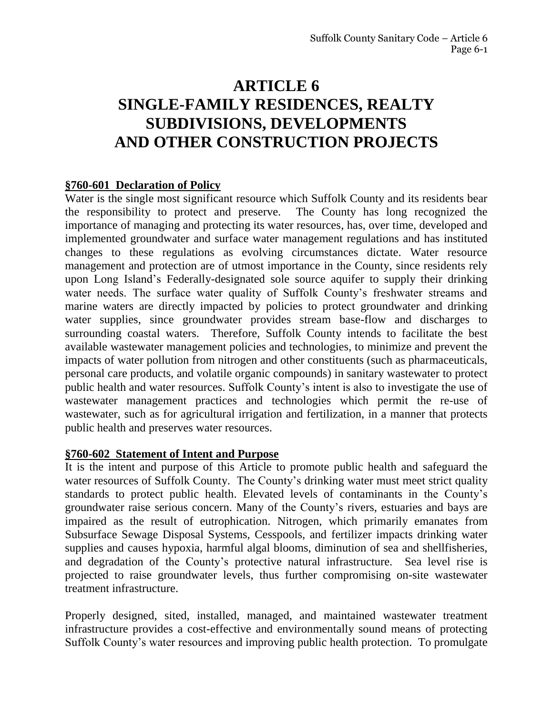# **ARTICLE 6 SINGLE-FAMILY RESIDENCES, REALTY SUBDIVISIONS, DEVELOPMENTS AND OTHER CONSTRUCTION PROJECTS**

#### **§760-601 Declaration of Policy**

Water is the single most significant resource which Suffolk County and its residents bear the responsibility to protect and preserve. The County has long recognized the importance of managing and protecting its water resources, has, over time, developed and implemented groundwater and surface water management regulations and has instituted changes to these regulations as evolving circumstances dictate. Water resource management and protection are of utmost importance in the County, since residents rely upon Long Island's Federally-designated sole source aquifer to supply their drinking water needs. The surface water quality of Suffolk County's freshwater streams and marine waters are directly impacted by policies to protect groundwater and drinking water supplies, since groundwater provides stream base-flow and discharges to surrounding coastal waters. Therefore, Suffolk County intends to facilitate the best available wastewater management policies and technologies, to minimize and prevent the impacts of water pollution from nitrogen and other constituents (such as pharmaceuticals, personal care products, and volatile organic compounds) in sanitary wastewater to protect public health and water resources. Suffolk County's intent is also to investigate the use of wastewater management practices and technologies which permit the re-use of wastewater, such as for agricultural irrigation and fertilization, in a manner that protects public health and preserves water resources.

#### **§760-602 Statement of Intent and Purpose**

It is the intent and purpose of this Article to promote public health and safeguard the water resources of Suffolk County. The County's drinking water must meet strict quality standards to protect public health. Elevated levels of contaminants in the County's groundwater raise serious concern. Many of the County's rivers, estuaries and bays are impaired as the result of eutrophication. Nitrogen, which primarily emanates from Subsurface Sewage Disposal Systems, Cesspools, and fertilizer impacts drinking water supplies and causes hypoxia, harmful algal blooms, diminution of sea and shellfisheries, and degradation of the County's protective natural infrastructure. Sea level rise is projected to raise groundwater levels, thus further compromising on-site wastewater treatment infrastructure.

Properly designed, sited, installed, managed, and maintained wastewater treatment infrastructure provides a cost-effective and environmentally sound means of protecting Suffolk County's water resources and improving public health protection. To promulgate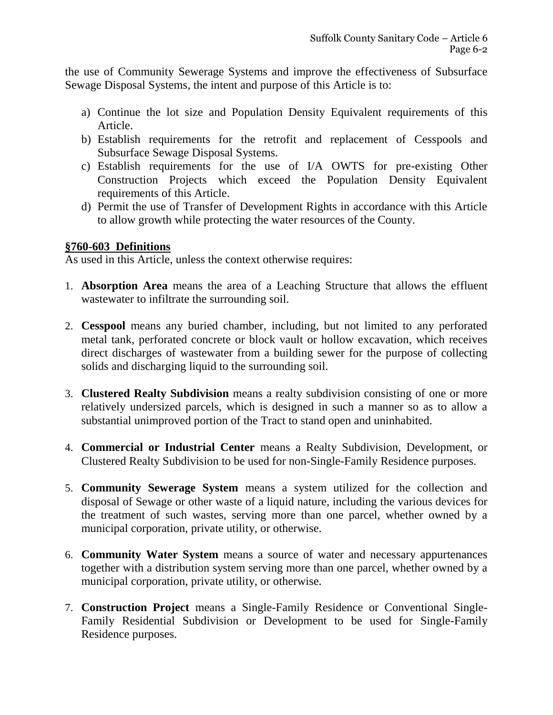the use of Community Sewerage Systems and improve the effectiveness of Subsurface Sewage Disposal Systems, the intent and purpose of this Article is to:

- a) Continue the lot size and Population Density Equivalent requirements of this Article.
- b) Establish requirements for the retrofit and replacement of Cesspools and Subsurface Sewage Disposal Systems.
- c) Establish requirements for the use of I/A OWTS for pre-existing Other Construction Projects which exceed the Population Density Equivalent requirements of this Article.
- d) Permit the use of Transfer of Development Rights in accordance with this Article to allow growth while protecting the water resources of the County.

#### **§760-603 Definitions**

As used in this Article, unless the context otherwise requires:

- 1. **Absorption Area** means the area of a Leaching Structure that allows the effluent wastewater to infiltrate the surrounding soil.
- 2. **Cesspool** means any buried chamber, including, but not limited to any perforated metal tank, perforated concrete or block vault or hollow excavation, which receives direct discharges of wastewater from a building sewer for the purpose of collecting solids and discharging liquid to the surrounding soil.
- 3. **Clustered Realty Subdivision** means a realty subdivision consisting of one or more relatively undersized parcels, which is designed in such a manner so as to allow a substantial unimproved portion of the Tract to stand open and uninhabited.
- 4. **Commercial or Industrial Center** means a Realty Subdivision, Development, or Clustered Realty Subdivision to be used for non-Single-Family Residence purposes.
- 5. **Community Sewerage System** means a system utilized for the collection and disposal of Sewage or other waste of a liquid nature, including the various devices for the treatment of such wastes, serving more than one parcel, whether owned by a municipal corporation, private utility, or otherwise.
- 6. **Community Water System** means a source of water and necessary appurtenances together with a distribution system serving more than one parcel, whether owned by a municipal corporation, private utility, or otherwise.
- 7. **Construction Project** means a Single-Family Residence or Conventional Single-Family Residential Subdivision or Development to be used for Single-Family Residence purposes.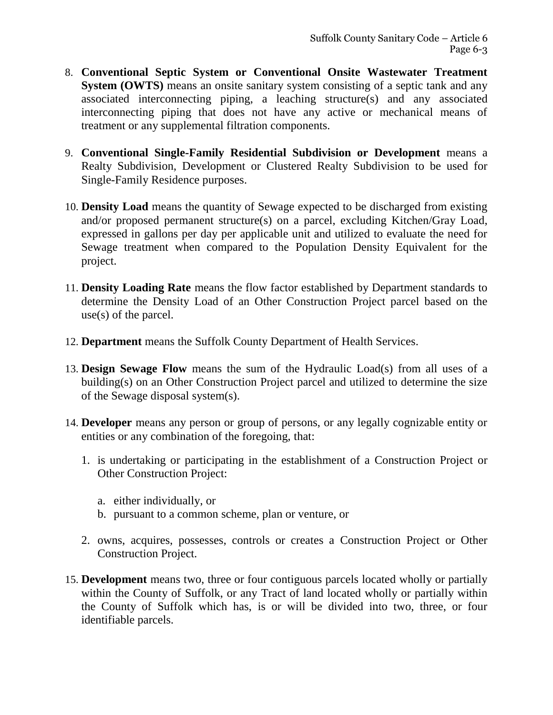- 8. **Conventional Septic System or Conventional Onsite Wastewater Treatment System (OWTS)** means an onsite sanitary system consisting of a septic tank and any associated interconnecting piping, a leaching structure(s) and any associated interconnecting piping that does not have any active or mechanical means of treatment or any supplemental filtration components.
- 9. **Conventional Single-Family Residential Subdivision or Development** means a Realty Subdivision, Development or Clustered Realty Subdivision to be used for Single-Family Residence purposes.
- 10. **Density Load** means the quantity of Sewage expected to be discharged from existing and/or proposed permanent structure(s) on a parcel, excluding Kitchen/Gray Load, expressed in gallons per day per applicable unit and utilized to evaluate the need for Sewage treatment when compared to the Population Density Equivalent for the project.
- 11. **Density Loading Rate** means the flow factor established by Department standards to determine the Density Load of an Other Construction Project parcel based on the use(s) of the parcel.
- 12. **Department** means the Suffolk County Department of Health Services.
- 13. **Design Sewage Flow** means the sum of the Hydraulic Load(s) from all uses of a building(s) on an Other Construction Project parcel and utilized to determine the size of the Sewage disposal system(s).
- 14. **Developer** means any person or group of persons, or any legally cognizable entity or entities or any combination of the foregoing, that:
	- 1. is undertaking or participating in the establishment of a Construction Project or Other Construction Project:
		- a. either individually, or
		- b. pursuant to a common scheme, plan or venture, or
	- 2. owns, acquires, possesses, controls or creates a Construction Project or Other Construction Project.
- 15. **Development** means two, three or four contiguous parcels located wholly or partially within the County of Suffolk, or any Tract of land located wholly or partially within the County of Suffolk which has, is or will be divided into two, three, or four identifiable parcels.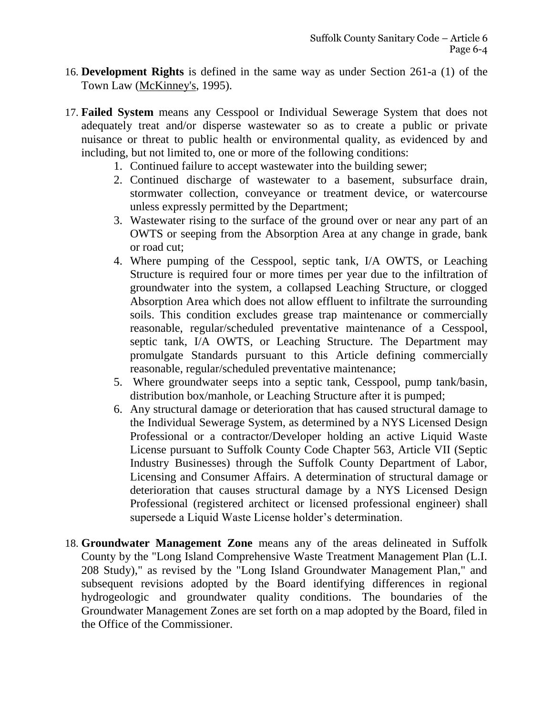- 16. **Development Rights** is defined in the same way as under Section 261-a (1) of the Town Law (McKinney's, 1995).
- 17. **Failed System** means any Cesspool or Individual Sewerage System that does not adequately treat and/or disperse wastewater so as to create a public or private nuisance or threat to public health or environmental quality, as evidenced by and including, but not limited to, one or more of the following conditions:
	- 1. Continued failure to accept wastewater into the building sewer;
	- 2. Continued discharge of wastewater to a basement, subsurface drain, stormwater collection, conveyance or treatment device, or watercourse unless expressly permitted by the Department;
	- 3. Wastewater rising to the surface of the ground over or near any part of an OWTS or seeping from the Absorption Area at any change in grade, bank or road cut;
	- 4. Where pumping of the Cesspool, septic tank, I/A OWTS, or Leaching Structure is required four or more times per year due to the infiltration of groundwater into the system, a collapsed Leaching Structure, or clogged Absorption Area which does not allow effluent to infiltrate the surrounding soils. This condition excludes grease trap maintenance or commercially reasonable, regular/scheduled preventative maintenance of a Cesspool, septic tank, I/A OWTS, or Leaching Structure. The Department may promulgate Standards pursuant to this Article defining commercially reasonable, regular/scheduled preventative maintenance;
	- 5. Where groundwater seeps into a septic tank, Cesspool, pump tank/basin, distribution box/manhole, or Leaching Structure after it is pumped;
	- 6. Any structural damage or deterioration that has caused structural damage to the Individual Sewerage System, as determined by a NYS Licensed Design Professional or a contractor/Developer holding an active Liquid Waste License pursuant to Suffolk County Code Chapter 563, Article VII (Septic Industry Businesses) through the Suffolk County Department of Labor, Licensing and Consumer Affairs. A determination of structural damage or deterioration that causes structural damage by a NYS Licensed Design Professional (registered architect or licensed professional engineer) shall supersede a Liquid Waste License holder's determination.
- 18. **Groundwater Management Zone** means any of the areas delineated in Suffolk County by the "Long Island Comprehensive Waste Treatment Management Plan (L.I. 208 Study)," as revised by the "Long Island Groundwater Management Plan," and subsequent revisions adopted by the Board identifying differences in regional hydrogeologic and groundwater quality conditions. The boundaries of the Groundwater Management Zones are set forth on a map adopted by the Board, filed in the Office of the Commissioner.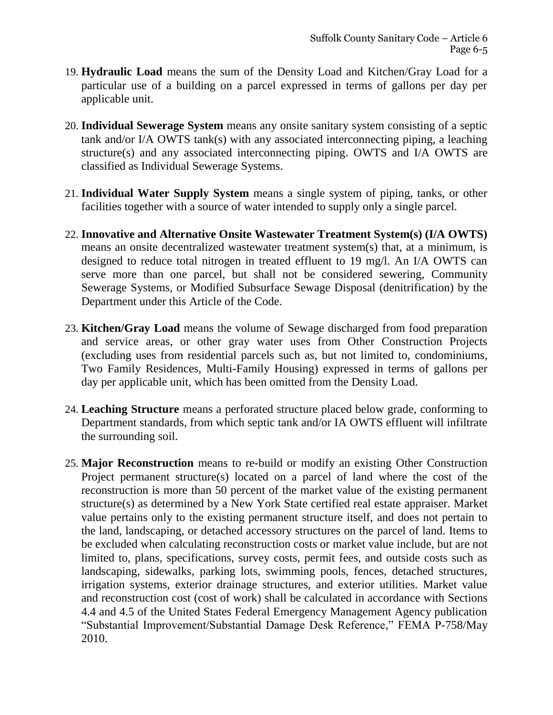- 19. **Hydraulic Load** means the sum of the Density Load and Kitchen/Gray Load for a particular use of a building on a parcel expressed in terms of gallons per day per applicable unit.
- 20. **Individual Sewerage System** means any onsite sanitary system consisting of a septic tank and/or I/A OWTS tank(s) with any associated interconnecting piping, a leaching structure(s) and any associated interconnecting piping. OWTS and I/A OWTS are classified as Individual Sewerage Systems.
- 21. **Individual Water Supply System** means a single system of piping, tanks, or other facilities together with a source of water intended to supply only a single parcel.
- 22. **Innovative and Alternative Onsite Wastewater Treatment System(s) (I/A OWTS)**  means an onsite decentralized wastewater treatment system(s) that, at a minimum, is designed to reduce total nitrogen in treated effluent to 19 mg/l. An I/A OWTS can serve more than one parcel, but shall not be considered sewering, Community Sewerage Systems, or Modified Subsurface Sewage Disposal (denitrification) by the Department under this Article of the Code.
- 23. **Kitchen/Gray Load** means the volume of Sewage discharged from food preparation and service areas, or other gray water uses from Other Construction Projects (excluding uses from residential parcels such as, but not limited to, condominiums, Two Family Residences, Multi-Family Housing) expressed in terms of gallons per day per applicable unit, which has been omitted from the Density Load.
- 24. **Leaching Structure** means a perforated structure placed below grade, conforming to Department standards, from which septic tank and/or IA OWTS effluent will infiltrate the surrounding soil.
- 25. **Major Reconstruction** means to re-build or modify an existing Other Construction Project permanent structure(s) located on a parcel of land where the cost of the reconstruction is more than 50 percent of the market value of the existing permanent structure(s) as determined by a New York State certified real estate appraiser. Market value pertains only to the existing permanent structure itself, and does not pertain to the land, landscaping, or detached accessory structures on the parcel of land. Items to be excluded when calculating reconstruction costs or market value include, but are not limited to, plans, specifications, survey costs, permit fees, and outside costs such as landscaping, sidewalks, parking lots, swimming pools, fences, detached structures, irrigation systems, exterior drainage structures, and exterior utilities. Market value and reconstruction cost (cost of work) shall be calculated in accordance with Sections 4.4 and 4.5 of the United States Federal Emergency Management Agency publication "Substantial Improvement/Substantial Damage Desk Reference," FEMA P-758/May 2010.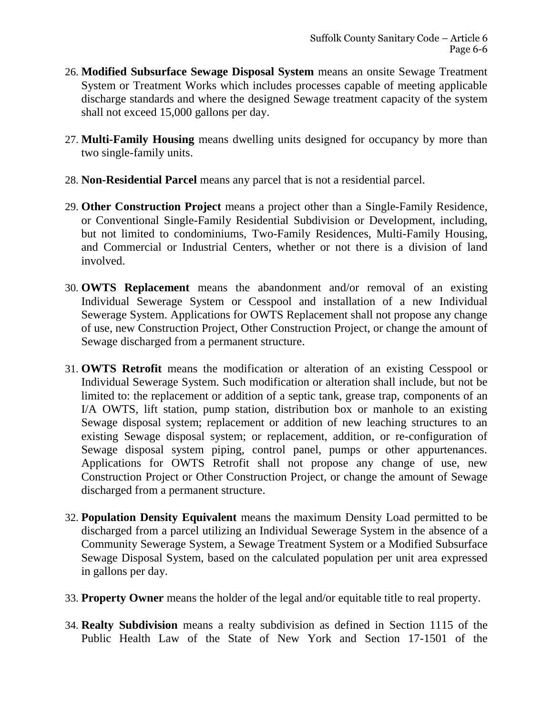- 26. **Modified Subsurface Sewage Disposal System** means an onsite Sewage Treatment System or Treatment Works which includes processes capable of meeting applicable discharge standards and where the designed Sewage treatment capacity of the system shall not exceed 15,000 gallons per day.
- 27. **Multi-Family Housing** means dwelling units designed for occupancy by more than two single-family units.
- 28. **Non-Residential Parcel** means any parcel that is not a residential parcel.
- 29. **Other Construction Project** means a project other than a Single-Family Residence, or Conventional Single-Family Residential Subdivision or Development, including, but not limited to condominiums, Two-Family Residences, Multi-Family Housing, and Commercial or Industrial Centers, whether or not there is a division of land involved.
- 30. **OWTS Replacement** means the abandonment and/or removal of an existing Individual Sewerage System or Cesspool and installation of a new Individual Sewerage System. Applications for OWTS Replacement shall not propose any change of use, new Construction Project, Other Construction Project, or change the amount of Sewage discharged from a permanent structure.
- 31. **OWTS Retrofit** means the modification or alteration of an existing Cesspool or Individual Sewerage System. Such modification or alteration shall include, but not be limited to: the replacement or addition of a septic tank, grease trap, components of an I/A OWTS, lift station, pump station, distribution box or manhole to an existing Sewage disposal system; replacement or addition of new leaching structures to an existing Sewage disposal system; or replacement, addition, or re-configuration of Sewage disposal system piping, control panel, pumps or other appurtenances. Applications for OWTS Retrofit shall not propose any change of use, new Construction Project or Other Construction Project, or change the amount of Sewage discharged from a permanent structure.
- 32. **Population Density Equivalent** means the maximum Density Load permitted to be discharged from a parcel utilizing an Individual Sewerage System in the absence of a Community Sewerage System, a Sewage Treatment System or a Modified Subsurface Sewage Disposal System, based on the calculated population per unit area expressed in gallons per day.
- 33. **Property Owner** means the holder of the legal and/or equitable title to real property.
- 34. **Realty Subdivision** means a realty subdivision as defined in Section 1115 of the Public Health Law of the State of New York and Section 17-1501 of the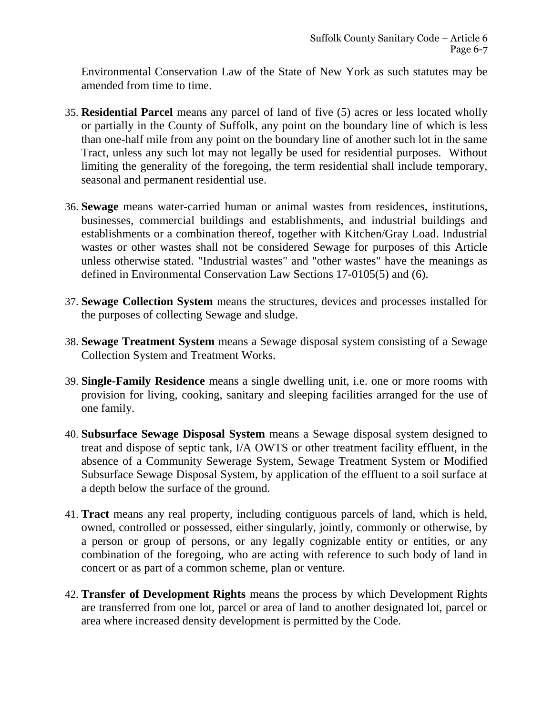Environmental Conservation Law of the State of New York as such statutes may be amended from time to time.

- 35. **Residential Parcel** means any parcel of land of five (5) acres or less located wholly or partially in the County of Suffolk, any point on the boundary line of which is less than one-half mile from any point on the boundary line of another such lot in the same Tract, unless any such lot may not legally be used for residential purposes. Without limiting the generality of the foregoing, the term residential shall include temporary, seasonal and permanent residential use.
- 36. **Sewage** means water-carried human or animal wastes from residences, institutions, businesses, commercial buildings and establishments, and industrial buildings and establishments or a combination thereof, together with Kitchen/Gray Load. Industrial wastes or other wastes shall not be considered Sewage for purposes of this Article unless otherwise stated. "Industrial wastes" and "other wastes" have the meanings as defined in Environmental Conservation Law Sections 17-0105(5) and (6).
- 37. **Sewage Collection System** means the structures, devices and processes installed for the purposes of collecting Sewage and sludge.
- 38. **Sewage Treatment System** means a Sewage disposal system consisting of a Sewage Collection System and Treatment Works.
- 39. **Single-Family Residence** means a single dwelling unit, i.e. one or more rooms with provision for living, cooking, sanitary and sleeping facilities arranged for the use of one family.
- 40. **Subsurface Sewage Disposal System** means a Sewage disposal system designed to treat and dispose of septic tank, I/A OWTS or other treatment facility effluent, in the absence of a Community Sewerage System, Sewage Treatment System or Modified Subsurface Sewage Disposal System, by application of the effluent to a soil surface at a depth below the surface of the ground.
- 41. **Tract** means any real property, including contiguous parcels of land, which is held, owned, controlled or possessed, either singularly, jointly, commonly or otherwise, by a person or group of persons, or any legally cognizable entity or entities, or any combination of the foregoing, who are acting with reference to such body of land in concert or as part of a common scheme, plan or venture.
- 42. **Transfer of Development Rights** means the process by which Development Rights are transferred from one lot, parcel or area of land to another designated lot, parcel or area where increased density development is permitted by the Code.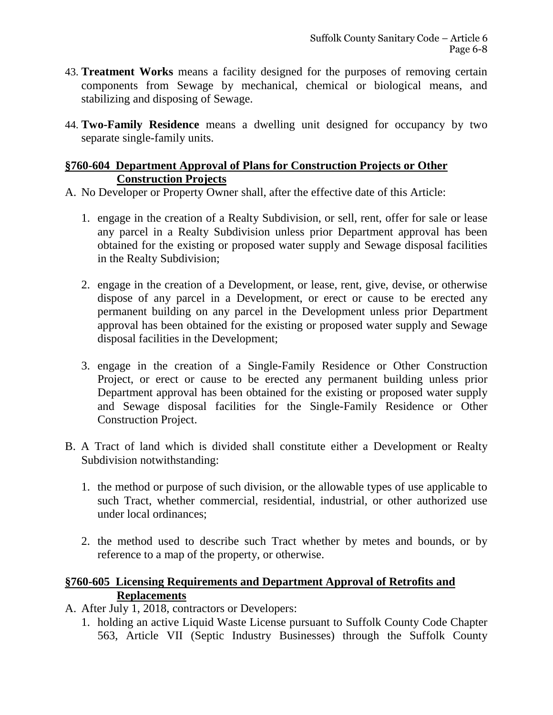- 43. **Treatment Works** means a facility designed for the purposes of removing certain components from Sewage by mechanical, chemical or biological means, and stabilizing and disposing of Sewage.
- 44. **Two-Family Residence** means a dwelling unit designed for occupancy by two separate single-family units.

## **§760-604 Department Approval of Plans for Construction Projects or Other Construction Projects**

- A. No Developer or Property Owner shall, after the effective date of this Article:
	- 1. engage in the creation of a Realty Subdivision, or sell, rent, offer for sale or lease any parcel in a Realty Subdivision unless prior Department approval has been obtained for the existing or proposed water supply and Sewage disposal facilities in the Realty Subdivision;
	- 2. engage in the creation of a Development, or lease, rent, give, devise, or otherwise dispose of any parcel in a Development, or erect or cause to be erected any permanent building on any parcel in the Development unless prior Department approval has been obtained for the existing or proposed water supply and Sewage disposal facilities in the Development;
	- 3. engage in the creation of a Single-Family Residence or Other Construction Project, or erect or cause to be erected any permanent building unless prior Department approval has been obtained for the existing or proposed water supply and Sewage disposal facilities for the Single-Family Residence or Other Construction Project.
- B. A Tract of land which is divided shall constitute either a Development or Realty Subdivision notwithstanding:
	- 1. the method or purpose of such division, or the allowable types of use applicable to such Tract, whether commercial, residential, industrial, or other authorized use under local ordinances;
	- 2. the method used to describe such Tract whether by metes and bounds, or by reference to a map of the property, or otherwise.

## **§760-605 Licensing Requirements and Department Approval of Retrofits and Replacements**

- A. After July 1, 2018, contractors or Developers:
	- 1. holding an active Liquid Waste License pursuant to Suffolk County Code Chapter 563, Article VII (Septic Industry Businesses) through the Suffolk County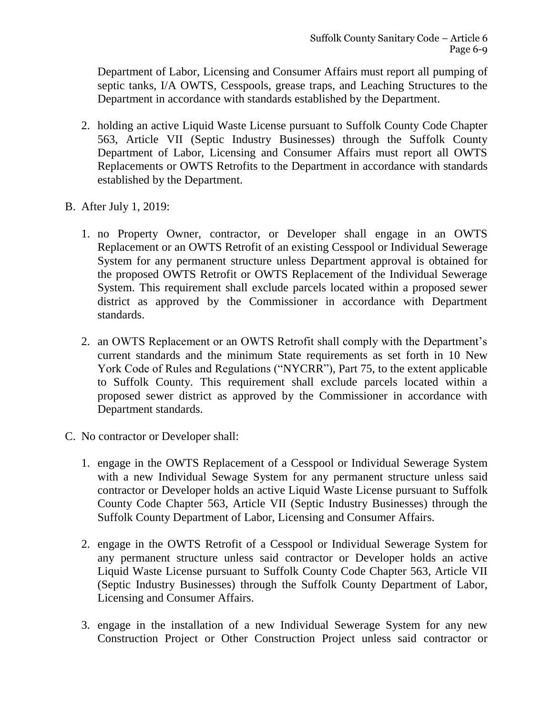Department of Labor, Licensing and Consumer Affairs must report all pumping of septic tanks, I/A OWTS, Cesspools, grease traps, and Leaching Structures to the Department in accordance with standards established by the Department.

- 2. holding an active Liquid Waste License pursuant to Suffolk County Code Chapter 563, Article VII (Septic Industry Businesses) through the Suffolk County Department of Labor, Licensing and Consumer Affairs must report all OWTS Replacements or OWTS Retrofits to the Department in accordance with standards established by the Department.
- B. After July 1, 2019:
	- 1. no Property Owner, contractor, or Developer shall engage in an OWTS Replacement or an OWTS Retrofit of an existing Cesspool or Individual Sewerage System for any permanent structure unless Department approval is obtained for the proposed OWTS Retrofit or OWTS Replacement of the Individual Sewerage System. This requirement shall exclude parcels located within a proposed sewer district as approved by the Commissioner in accordance with Department standards.
	- 2. an OWTS Replacement or an OWTS Retrofit shall comply with the Department's current standards and the minimum State requirements as set forth in 10 New York Code of Rules and Regulations ("NYCRR"), Part 75, to the extent applicable to Suffolk County. This requirement shall exclude parcels located within a proposed sewer district as approved by the Commissioner in accordance with Department standards.
- C. No contractor or Developer shall:
	- 1. engage in the OWTS Replacement of a Cesspool or Individual Sewerage System with a new Individual Sewage System for any permanent structure unless said contractor or Developer holds an active Liquid Waste License pursuant to Suffolk County Code Chapter 563, Article VII (Septic Industry Businesses) through the Suffolk County Department of Labor, Licensing and Consumer Affairs.
	- 2. engage in the OWTS Retrofit of a Cesspool or Individual Sewerage System for any permanent structure unless said contractor or Developer holds an active Liquid Waste License pursuant to Suffolk County Code Chapter 563, Article VII (Septic Industry Businesses) through the Suffolk County Department of Labor, Licensing and Consumer Affairs.
	- 3. engage in the installation of a new Individual Sewerage System for any new Construction Project or Other Construction Project unless said contractor or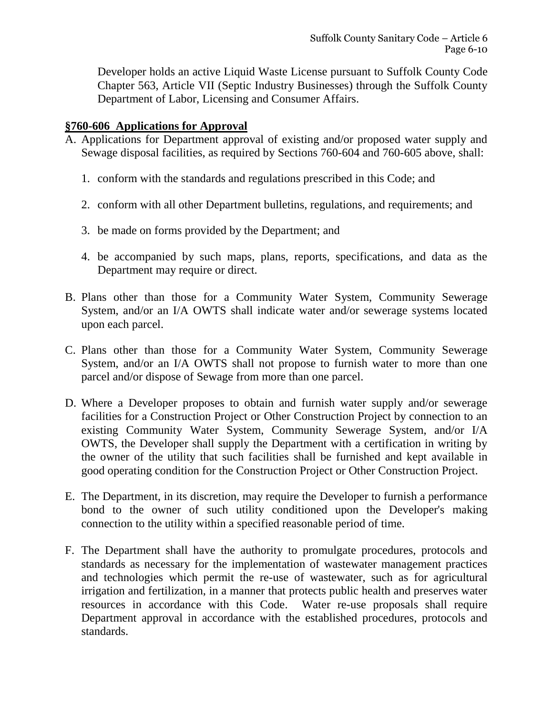Developer holds an active Liquid Waste License pursuant to Suffolk County Code Chapter 563, Article VII (Septic Industry Businesses) through the Suffolk County Department of Labor, Licensing and Consumer Affairs.

#### **§760-606 Applications for Approval**

- A. Applications for Department approval of existing and/or proposed water supply and Sewage disposal facilities, as required by Sections 760-604 and 760-605 above, shall:
	- 1. conform with the standards and regulations prescribed in this Code; and
	- 2. conform with all other Department bulletins, regulations, and requirements; and
	- 3. be made on forms provided by the Department; and
	- 4. be accompanied by such maps, plans, reports, specifications, and data as the Department may require or direct.
- B. Plans other than those for a Community Water System, Community Sewerage System, and/or an I/A OWTS shall indicate water and/or sewerage systems located upon each parcel.
- C. Plans other than those for a Community Water System, Community Sewerage System, and/or an I/A OWTS shall not propose to furnish water to more than one parcel and/or dispose of Sewage from more than one parcel.
- D. Where a Developer proposes to obtain and furnish water supply and/or sewerage facilities for a Construction Project or Other Construction Project by connection to an existing Community Water System, Community Sewerage System, and/or I/A OWTS, the Developer shall supply the Department with a certification in writing by the owner of the utility that such facilities shall be furnished and kept available in good operating condition for the Construction Project or Other Construction Project.
- E. The Department, in its discretion, may require the Developer to furnish a performance bond to the owner of such utility conditioned upon the Developer's making connection to the utility within a specified reasonable period of time.
- F. The Department shall have the authority to promulgate procedures, protocols and standards as necessary for the implementation of wastewater management practices and technologies which permit the re-use of wastewater, such as for agricultural irrigation and fertilization, in a manner that protects public health and preserves water resources in accordance with this Code. Water re-use proposals shall require Department approval in accordance with the established procedures, protocols and standards.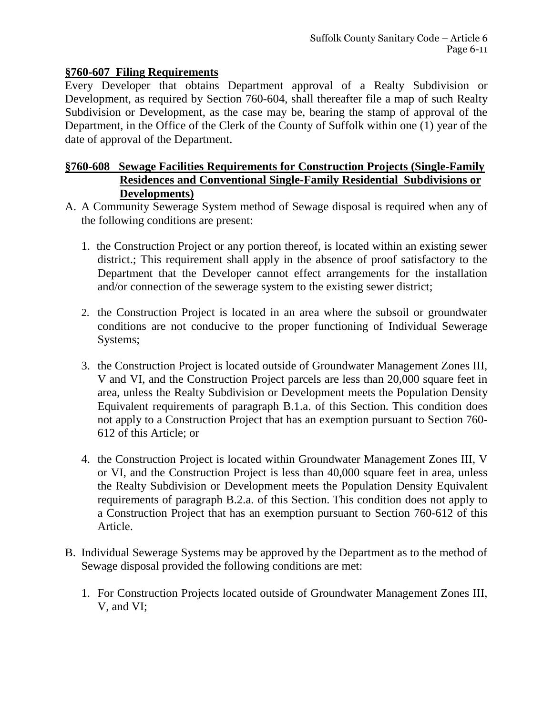#### **§760-607 Filing Requirements**

Every Developer that obtains Department approval of a Realty Subdivision or Development, as required by Section 760-604, shall thereafter file a map of such Realty Subdivision or Development, as the case may be, bearing the stamp of approval of the Department, in the Office of the Clerk of the County of Suffolk within one (1) year of the date of approval of the Department.

## **§760-608 Sewage Facilities Requirements for Construction Projects (Single-Family Residences and Conventional Single-Family Residential Subdivisions or Developments)**

- A. A Community Sewerage System method of Sewage disposal is required when any of the following conditions are present:
	- 1. the Construction Project or any portion thereof, is located within an existing sewer district.; This requirement shall apply in the absence of proof satisfactory to the Department that the Developer cannot effect arrangements for the installation and/or connection of the sewerage system to the existing sewer district;
	- 2. the Construction Project is located in an area where the subsoil or groundwater conditions are not conducive to the proper functioning of Individual Sewerage Systems;
	- 3. the Construction Project is located outside of Groundwater Management Zones III, V and VI, and the Construction Project parcels are less than 20,000 square feet in area, unless the Realty Subdivision or Development meets the Population Density Equivalent requirements of paragraph B.1.a. of this Section. This condition does not apply to a Construction Project that has an exemption pursuant to Section 760- 612 of this Article; or
	- 4. the Construction Project is located within Groundwater Management Zones III, V or VI, and the Construction Project is less than 40,000 square feet in area, unless the Realty Subdivision or Development meets the Population Density Equivalent requirements of paragraph B.2.a. of this Section. This condition does not apply to a Construction Project that has an exemption pursuant to Section 760-612 of this Article.
- B. Individual Sewerage Systems may be approved by the Department as to the method of Sewage disposal provided the following conditions are met:
	- 1. For Construction Projects located outside of Groundwater Management Zones III, V, and VI;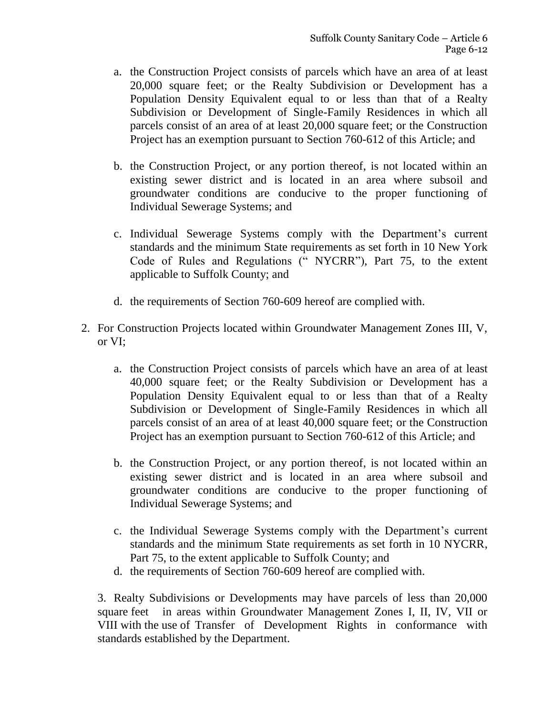- a. the Construction Project consists of parcels which have an area of at least 20,000 square feet; or the Realty Subdivision or Development has a Population Density Equivalent equal to or less than that of a Realty Subdivision or Development of Single-Family Residences in which all parcels consist of an area of at least 20,000 square feet; or the Construction Project has an exemption pursuant to Section 760-612 of this Article; and
- b. the Construction Project, or any portion thereof, is not located within an existing sewer district and is located in an area where subsoil and groundwater conditions are conducive to the proper functioning of Individual Sewerage Systems; and
- c. Individual Sewerage Systems comply with the Department's current standards and the minimum State requirements as set forth in 10 New York Code of Rules and Regulations (" NYCRR"), Part 75, to the extent applicable to Suffolk County; and
- d. the requirements of Section 760-609 hereof are complied with.
- 2. For Construction Projects located within Groundwater Management Zones III, V, or VI;
	- a. the Construction Project consists of parcels which have an area of at least 40,000 square feet; or the Realty Subdivision or Development has a Population Density Equivalent equal to or less than that of a Realty Subdivision or Development of Single-Family Residences in which all parcels consist of an area of at least 40,000 square feet; or the Construction Project has an exemption pursuant to Section 760-612 of this Article; and
	- b. the Construction Project, or any portion thereof, is not located within an existing sewer district and is located in an area where subsoil and groundwater conditions are conducive to the proper functioning of Individual Sewerage Systems; and
	- c. the Individual Sewerage Systems comply with the Department's current standards and the minimum State requirements as set forth in 10 NYCRR, Part 75, to the extent applicable to Suffolk County; and
	- d. the requirements of Section 760-609 hereof are complied with.

3. Realty Subdivisions or Developments may have parcels of less than 20,000 square feet in areas within Groundwater Management Zones I, II, IV, VII or VIII with the use of Transfer of Development Rights in conformance with standards established by the Department.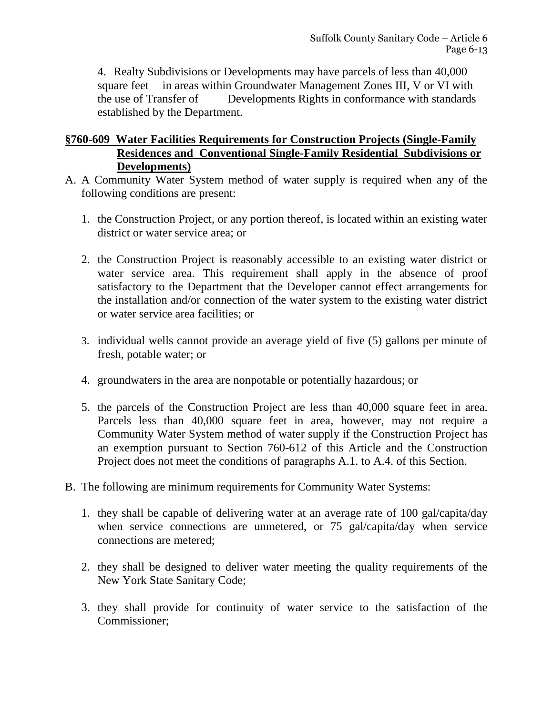4. Realty Subdivisions or Developments may have parcels of less than 40,000 square feet in areas within Groundwater Management Zones III, V or VI with the use of Transfer of Developments Rights in conformance with standards established by the Department.

## **§760-609 Water Facilities Requirements for Construction Projects (Single-Family Residences and Conventional Single-Family Residential Subdivisions or Developments)**

- A. A Community Water System method of water supply is required when any of the following conditions are present:
	- 1. the Construction Project, or any portion thereof, is located within an existing water district or water service area; or
	- 2. the Construction Project is reasonably accessible to an existing water district or water service area. This requirement shall apply in the absence of proof satisfactory to the Department that the Developer cannot effect arrangements for the installation and/or connection of the water system to the existing water district or water service area facilities; or
	- 3. individual wells cannot provide an average yield of five (5) gallons per minute of fresh, potable water; or
	- 4. groundwaters in the area are nonpotable or potentially hazardous; or
	- 5. the parcels of the Construction Project are less than 40,000 square feet in area. Parcels less than 40,000 square feet in area, however, may not require a Community Water System method of water supply if the Construction Project has an exemption pursuant to Section 760-612 of this Article and the Construction Project does not meet the conditions of paragraphs A.1. to A.4. of this Section.
- B. The following are minimum requirements for Community Water Systems:
	- 1. they shall be capable of delivering water at an average rate of 100 gal/capita/day when service connections are unmetered, or 75 gal/capita/day when service connections are metered;
	- 2. they shall be designed to deliver water meeting the quality requirements of the New York State Sanitary Code;
	- 3. they shall provide for continuity of water service to the satisfaction of the Commissioner;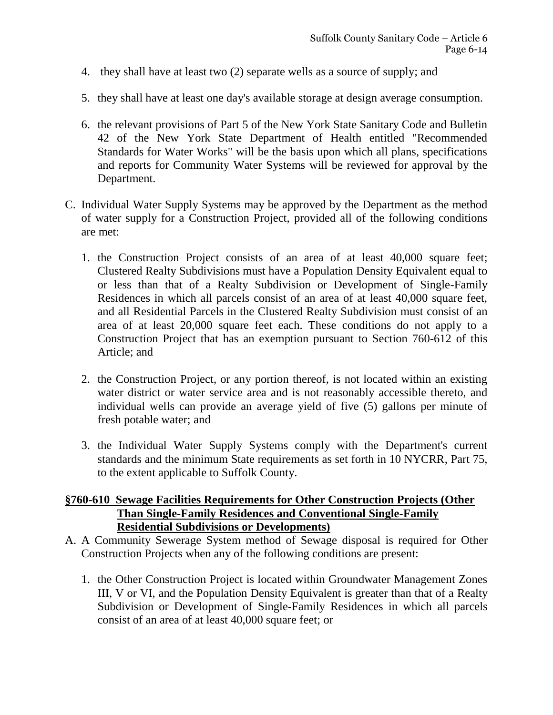- 4. they shall have at least two (2) separate wells as a source of supply; and
- 5. they shall have at least one day's available storage at design average consumption.
- 6. the relevant provisions of Part 5 of the New York State Sanitary Code and Bulletin 42 of the New York State Department of Health entitled "Recommended Standards for Water Works" will be the basis upon which all plans, specifications and reports for Community Water Systems will be reviewed for approval by the Department.
- C. Individual Water Supply Systems may be approved by the Department as the method of water supply for a Construction Project, provided all of the following conditions are met:
	- 1. the Construction Project consists of an area of at least 40,000 square feet; Clustered Realty Subdivisions must have a Population Density Equivalent equal to or less than that of a Realty Subdivision or Development of Single-Family Residences in which all parcels consist of an area of at least 40,000 square feet, and all Residential Parcels in the Clustered Realty Subdivision must consist of an area of at least 20,000 square feet each. These conditions do not apply to a Construction Project that has an exemption pursuant to Section 760-612 of this Article; and
	- 2. the Construction Project, or any portion thereof, is not located within an existing water district or water service area and is not reasonably accessible thereto, and individual wells can provide an average yield of five (5) gallons per minute of fresh potable water; and
	- 3. the Individual Water Supply Systems comply with the Department's current standards and the minimum State requirements as set forth in 10 NYCRR, Part 75, to the extent applicable to Suffolk County.

#### **§760-610 Sewage Facilities Requirements for Other Construction Projects (Other Than Single-Family Residences and Conventional Single-Family Residential Subdivisions or Developments)**

- A. A Community Sewerage System method of Sewage disposal is required for Other Construction Projects when any of the following conditions are present:
	- 1. the Other Construction Project is located within Groundwater Management Zones III, V or VI, and the Population Density Equivalent is greater than that of a Realty Subdivision or Development of Single-Family Residences in which all parcels consist of an area of at least 40,000 square feet; or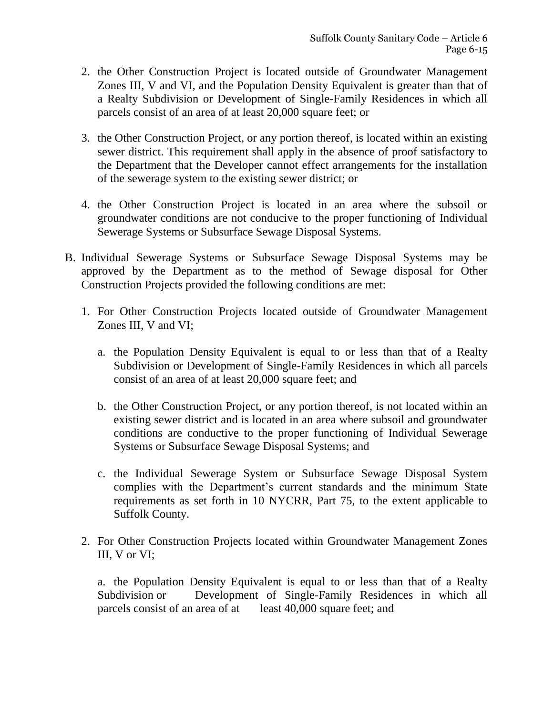- 2. the Other Construction Project is located outside of Groundwater Management Zones III, V and VI, and the Population Density Equivalent is greater than that of a Realty Subdivision or Development of Single-Family Residences in which all parcels consist of an area of at least 20,000 square feet; or
- 3. the Other Construction Project, or any portion thereof, is located within an existing sewer district. This requirement shall apply in the absence of proof satisfactory to the Department that the Developer cannot effect arrangements for the installation of the sewerage system to the existing sewer district; or
- 4. the Other Construction Project is located in an area where the subsoil or groundwater conditions are not conducive to the proper functioning of Individual Sewerage Systems or Subsurface Sewage Disposal Systems.
- B. Individual Sewerage Systems or Subsurface Sewage Disposal Systems may be approved by the Department as to the method of Sewage disposal for Other Construction Projects provided the following conditions are met:
	- 1. For Other Construction Projects located outside of Groundwater Management Zones III, V and VI;
		- a. the Population Density Equivalent is equal to or less than that of a Realty Subdivision or Development of Single-Family Residences in which all parcels consist of an area of at least 20,000 square feet; and
		- b. the Other Construction Project, or any portion thereof, is not located within an existing sewer district and is located in an area where subsoil and groundwater conditions are conductive to the proper functioning of Individual Sewerage Systems or Subsurface Sewage Disposal Systems; and
		- c. the Individual Sewerage System or Subsurface Sewage Disposal System complies with the Department's current standards and the minimum State requirements as set forth in 10 NYCRR, Part 75, to the extent applicable to Suffolk County.
	- 2. For Other Construction Projects located within Groundwater Management Zones III, V or VI;

a. the Population Density Equivalent is equal to or less than that of a Realty Subdivision or Development of Single-Family Residences in which all parcels consist of an area of at least 40,000 square feet; and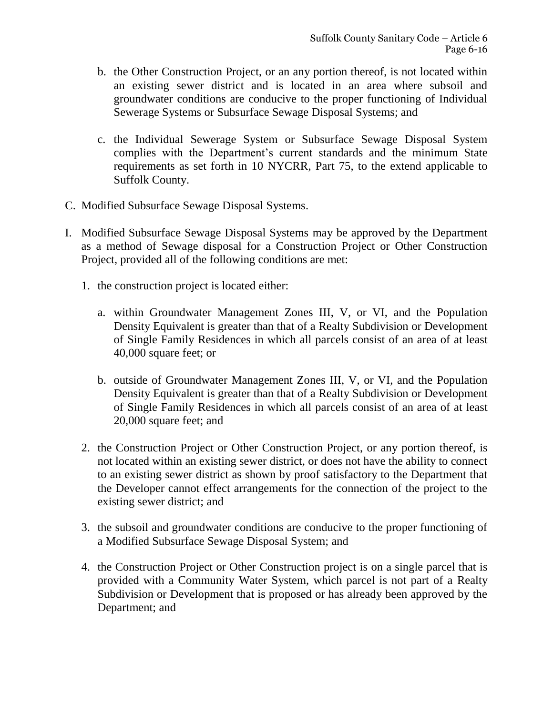- b. the Other Construction Project, or an any portion thereof, is not located within an existing sewer district and is located in an area where subsoil and groundwater conditions are conducive to the proper functioning of Individual Sewerage Systems or Subsurface Sewage Disposal Systems; and
- c. the Individual Sewerage System or Subsurface Sewage Disposal System complies with the Department's current standards and the minimum State requirements as set forth in 10 NYCRR, Part 75, to the extend applicable to Suffolk County.
- C. Modified Subsurface Sewage Disposal Systems.
- I. Modified Subsurface Sewage Disposal Systems may be approved by the Department as a method of Sewage disposal for a Construction Project or Other Construction Project, provided all of the following conditions are met:
	- 1. the construction project is located either:
		- a. within Groundwater Management Zones III, V, or VI, and the Population Density Equivalent is greater than that of a Realty Subdivision or Development of Single Family Residences in which all parcels consist of an area of at least 40,000 square feet; or
		- b. outside of Groundwater Management Zones III, V, or VI, and the Population Density Equivalent is greater than that of a Realty Subdivision or Development of Single Family Residences in which all parcels consist of an area of at least 20,000 square feet; and
	- 2. the Construction Project or Other Construction Project, or any portion thereof, is not located within an existing sewer district, or does not have the ability to connect to an existing sewer district as shown by proof satisfactory to the Department that the Developer cannot effect arrangements for the connection of the project to the existing sewer district; and
	- 3. the subsoil and groundwater conditions are conducive to the proper functioning of a Modified Subsurface Sewage Disposal System; and
	- 4. the Construction Project or Other Construction project is on a single parcel that is provided with a Community Water System, which parcel is not part of a Realty Subdivision or Development that is proposed or has already been approved by the Department; and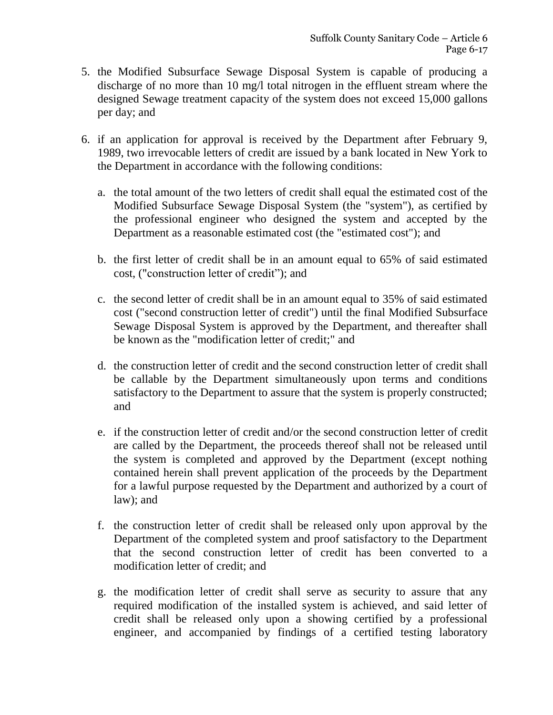- 5. the Modified Subsurface Sewage Disposal System is capable of producing a discharge of no more than 10 mg/l total nitrogen in the effluent stream where the designed Sewage treatment capacity of the system does not exceed 15,000 gallons per day; and
- 6. if an application for approval is received by the Department after February 9, 1989, two irrevocable letters of credit are issued by a bank located in New York to the Department in accordance with the following conditions:
	- a. the total amount of the two letters of credit shall equal the estimated cost of the Modified Subsurface Sewage Disposal System (the "system"), as certified by the professional engineer who designed the system and accepted by the Department as a reasonable estimated cost (the "estimated cost"); and
	- b. the first letter of credit shall be in an amount equal to 65% of said estimated cost, ("construction letter of credit"); and
	- c. the second letter of credit shall be in an amount equal to 35% of said estimated cost ("second construction letter of credit") until the final Modified Subsurface Sewage Disposal System is approved by the Department, and thereafter shall be known as the "modification letter of credit;" and
	- d. the construction letter of credit and the second construction letter of credit shall be callable by the Department simultaneously upon terms and conditions satisfactory to the Department to assure that the system is properly constructed; and
	- e. if the construction letter of credit and/or the second construction letter of credit are called by the Department, the proceeds thereof shall not be released until the system is completed and approved by the Department (except nothing contained herein shall prevent application of the proceeds by the Department for a lawful purpose requested by the Department and authorized by a court of law); and
	- f. the construction letter of credit shall be released only upon approval by the Department of the completed system and proof satisfactory to the Department that the second construction letter of credit has been converted to a modification letter of credit; and
	- g. the modification letter of credit shall serve as security to assure that any required modification of the installed system is achieved, and said letter of credit shall be released only upon a showing certified by a professional engineer, and accompanied by findings of a certified testing laboratory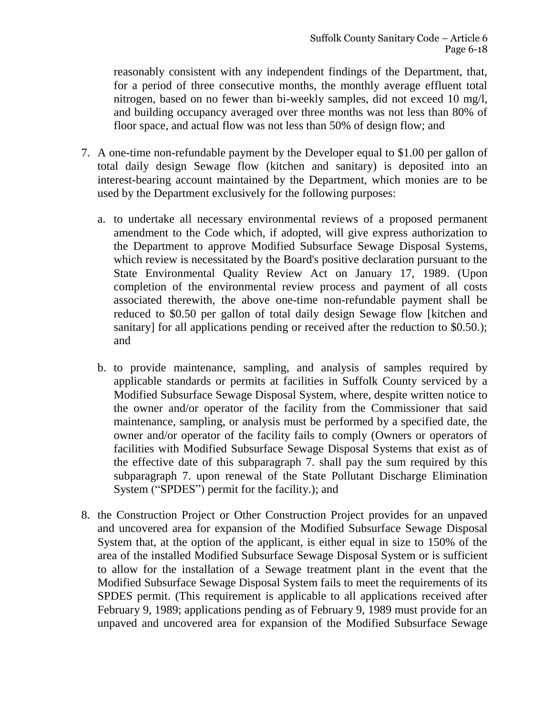reasonably consistent with any independent findings of the Department, that, for a period of three consecutive months, the monthly average effluent total nitrogen, based on no fewer than bi-weekly samples, did not exceed 10 mg/l, and building occupancy averaged over three months was not less than 80% of floor space, and actual flow was not less than 50% of design flow; and

- 7. A one-time non-refundable payment by the Developer equal to \$1.00 per gallon of total daily design Sewage flow (kitchen and sanitary) is deposited into an interest-bearing account maintained by the Department, which monies are to be used by the Department exclusively for the following purposes:
	- a. to undertake all necessary environmental reviews of a proposed permanent amendment to the Code which, if adopted, will give express authorization to the Department to approve Modified Subsurface Sewage Disposal Systems, which review is necessitated by the Board's positive declaration pursuant to the State Environmental Quality Review Act on January 17, 1989. (Upon completion of the environmental review process and payment of all costs associated therewith, the above one-time non-refundable payment shall be reduced to \$0.50 per gallon of total daily design Sewage flow [kitchen and sanitary] for all applications pending or received after the reduction to \$0.50.); and
	- b. to provide maintenance, sampling, and analysis of samples required by applicable standards or permits at facilities in Suffolk County serviced by a Modified Subsurface Sewage Disposal System, where, despite written notice to the owner and/or operator of the facility from the Commissioner that said maintenance, sampling, or analysis must be performed by a specified date, the owner and/or operator of the facility fails to comply (Owners or operators of facilities with Modified Subsurface Sewage Disposal Systems that exist as of the effective date of this subparagraph 7. shall pay the sum required by this subparagraph 7. upon renewal of the State Pollutant Discharge Elimination System ("SPDES") permit for the facility.); and
- 8. the Construction Project or Other Construction Project provides for an unpaved and uncovered area for expansion of the Modified Subsurface Sewage Disposal System that, at the option of the applicant, is either equal in size to 150% of the area of the installed Modified Subsurface Sewage Disposal System or is sufficient to allow for the installation of a Sewage treatment plant in the event that the Modified Subsurface Sewage Disposal System fails to meet the requirements of its SPDES permit. (This requirement is applicable to all applications received after February 9, 1989; applications pending as of February 9, 1989 must provide for an unpaved and uncovered area for expansion of the Modified Subsurface Sewage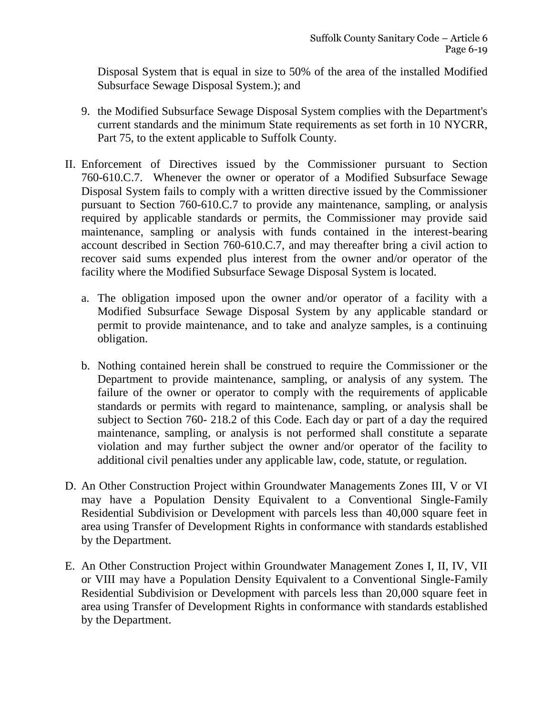Disposal System that is equal in size to 50% of the area of the installed Modified Subsurface Sewage Disposal System.); and

- 9. the Modified Subsurface Sewage Disposal System complies with the Department's current standards and the minimum State requirements as set forth in 10 NYCRR, Part 75, to the extent applicable to Suffolk County.
- II. Enforcement of Directives issued by the Commissioner pursuant to Section 760-610.C.7. Whenever the owner or operator of a Modified Subsurface Sewage Disposal System fails to comply with a written directive issued by the Commissioner pursuant to Section 760-610.C.7 to provide any maintenance, sampling, or analysis required by applicable standards or permits, the Commissioner may provide said maintenance, sampling or analysis with funds contained in the interest-bearing account described in Section 760-610.C.7, and may thereafter bring a civil action to recover said sums expended plus interest from the owner and/or operator of the facility where the Modified Subsurface Sewage Disposal System is located.
	- a. The obligation imposed upon the owner and/or operator of a facility with a Modified Subsurface Sewage Disposal System by any applicable standard or permit to provide maintenance, and to take and analyze samples, is a continuing obligation.
	- b. Nothing contained herein shall be construed to require the Commissioner or the Department to provide maintenance, sampling, or analysis of any system. The failure of the owner or operator to comply with the requirements of applicable standards or permits with regard to maintenance, sampling, or analysis shall be subject to Section 760- 218.2 of this Code. Each day or part of a day the required maintenance, sampling, or analysis is not performed shall constitute a separate violation and may further subject the owner and/or operator of the facility to additional civil penalties under any applicable law, code, statute, or regulation.
- D. An Other Construction Project within Groundwater Managements Zones III, V or VI may have a Population Density Equivalent to a Conventional Single-Family Residential Subdivision or Development with parcels less than 40,000 square feet in area using Transfer of Development Rights in conformance with standards established by the Department.
- E. An Other Construction Project within Groundwater Management Zones I, II, IV, VII or VIII may have a Population Density Equivalent to a Conventional Single-Family Residential Subdivision or Development with parcels less than 20,000 square feet in area using Transfer of Development Rights in conformance with standards established by the Department.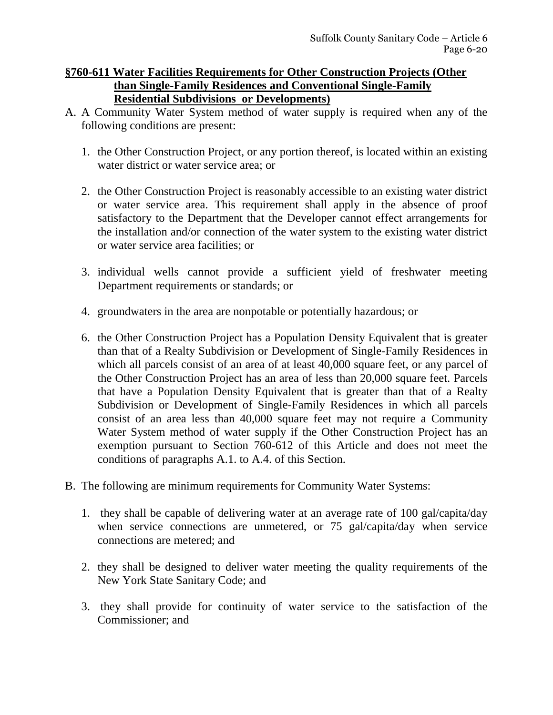#### **§760-611 Water Facilities Requirements for Other Construction Projects (Other than Single-Family Residences and Conventional Single-Family Residential Subdivisions or Developments)**

- A. A Community Water System method of water supply is required when any of the following conditions are present:
	- 1. the Other Construction Project, or any portion thereof, is located within an existing water district or water service area; or
	- 2. the Other Construction Project is reasonably accessible to an existing water district or water service area. This requirement shall apply in the absence of proof satisfactory to the Department that the Developer cannot effect arrangements for the installation and/or connection of the water system to the existing water district or water service area facilities; or
	- 3. individual wells cannot provide a sufficient yield of freshwater meeting Department requirements or standards; or
	- 4. groundwaters in the area are nonpotable or potentially hazardous; or
	- 6. the Other Construction Project has a Population Density Equivalent that is greater than that of a Realty Subdivision or Development of Single-Family Residences in which all parcels consist of an area of at least 40,000 square feet, or any parcel of the Other Construction Project has an area of less than 20,000 square feet. Parcels that have a Population Density Equivalent that is greater than that of a Realty Subdivision or Development of Single-Family Residences in which all parcels consist of an area less than 40,000 square feet may not require a Community Water System method of water supply if the Other Construction Project has an exemption pursuant to Section 760-612 of this Article and does not meet the conditions of paragraphs A.1. to A.4. of this Section.
- B. The following are minimum requirements for Community Water Systems:
	- 1. they shall be capable of delivering water at an average rate of 100 gal/capita/day when service connections are unmetered, or 75 gal/capita/day when service connections are metered; and
	- 2. they shall be designed to deliver water meeting the quality requirements of the New York State Sanitary Code; and
	- 3. they shall provide for continuity of water service to the satisfaction of the Commissioner; and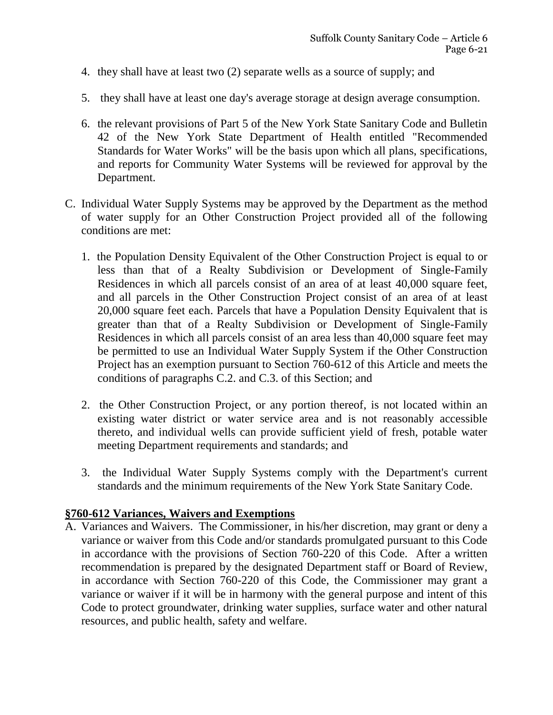- 4. they shall have at least two (2) separate wells as a source of supply; and
- 5. they shall have at least one day's average storage at design average consumption.
- 6. the relevant provisions of Part 5 of the New York State Sanitary Code and Bulletin 42 of the New York State Department of Health entitled "Recommended Standards for Water Works" will be the basis upon which all plans, specifications, and reports for Community Water Systems will be reviewed for approval by the Department.
- C. Individual Water Supply Systems may be approved by the Department as the method of water supply for an Other Construction Project provided all of the following conditions are met:
	- 1. the Population Density Equivalent of the Other Construction Project is equal to or less than that of a Realty Subdivision or Development of Single-Family Residences in which all parcels consist of an area of at least 40,000 square feet, and all parcels in the Other Construction Project consist of an area of at least 20,000 square feet each. Parcels that have a Population Density Equivalent that is greater than that of a Realty Subdivision or Development of Single-Family Residences in which all parcels consist of an area less than 40,000 square feet may be permitted to use an Individual Water Supply System if the Other Construction Project has an exemption pursuant to Section 760-612 of this Article and meets the conditions of paragraphs C.2. and C.3. of this Section; and
	- 2. the Other Construction Project, or any portion thereof, is not located within an existing water district or water service area and is not reasonably accessible thereto, and individual wells can provide sufficient yield of fresh, potable water meeting Department requirements and standards; and
	- 3. the Individual Water Supply Systems comply with the Department's current standards and the minimum requirements of the New York State Sanitary Code.

#### **§760-612 Variances, Waivers and Exemptions**

A. Variances and Waivers. The Commissioner, in his/her discretion, may grant or deny a variance or waiver from this Code and/or standards promulgated pursuant to this Code in accordance with the provisions of Section 760-220 of this Code. After a written recommendation is prepared by the designated Department staff or Board of Review, in accordance with Section 760-220 of this Code, the Commissioner may grant a variance or waiver if it will be in harmony with the general purpose and intent of this Code to protect groundwater, drinking water supplies, surface water and other natural resources, and public health, safety and welfare.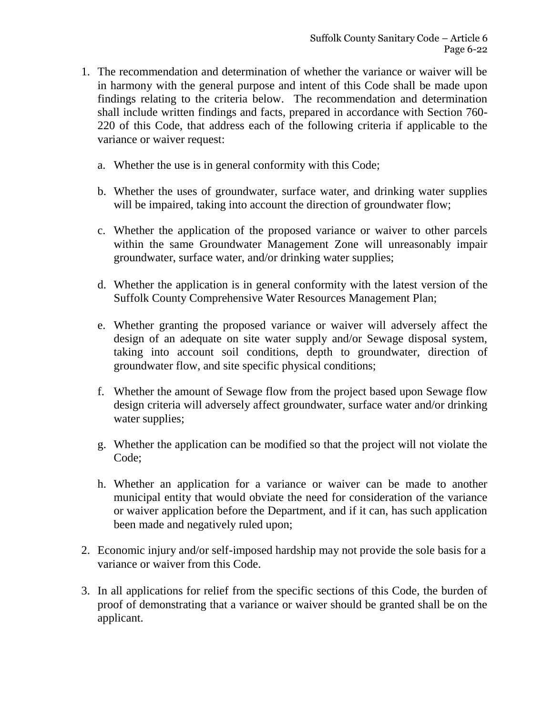- 1. The recommendation and determination of whether the variance or waiver will be in harmony with the general purpose and intent of this Code shall be made upon findings relating to the criteria below. The recommendation and determination shall include written findings and facts, prepared in accordance with Section 760- 220 of this Code, that address each of the following criteria if applicable to the variance or waiver request:
	- a. Whether the use is in general conformity with this Code;
	- b. Whether the uses of groundwater, surface water, and drinking water supplies will be impaired, taking into account the direction of groundwater flow;
	- c. Whether the application of the proposed variance or waiver to other parcels within the same Groundwater Management Zone will unreasonably impair groundwater, surface water, and/or drinking water supplies;
	- d. Whether the application is in general conformity with the latest version of the Suffolk County Comprehensive Water Resources Management Plan;
	- e. Whether granting the proposed variance or waiver will adversely affect the design of an adequate on site water supply and/or Sewage disposal system, taking into account soil conditions, depth to groundwater, direction of groundwater flow, and site specific physical conditions;
	- f. Whether the amount of Sewage flow from the project based upon Sewage flow design criteria will adversely affect groundwater, surface water and/or drinking water supplies;
	- g. Whether the application can be modified so that the project will not violate the Code;
	- h. Whether an application for a variance or waiver can be made to another municipal entity that would obviate the need for consideration of the variance or waiver application before the Department, and if it can, has such application been made and negatively ruled upon;
- 2. Economic injury and/or self-imposed hardship may not provide the sole basis for a variance or waiver from this Code.
- 3. In all applications for relief from the specific sections of this Code, the burden of proof of demonstrating that a variance or waiver should be granted shall be on the applicant.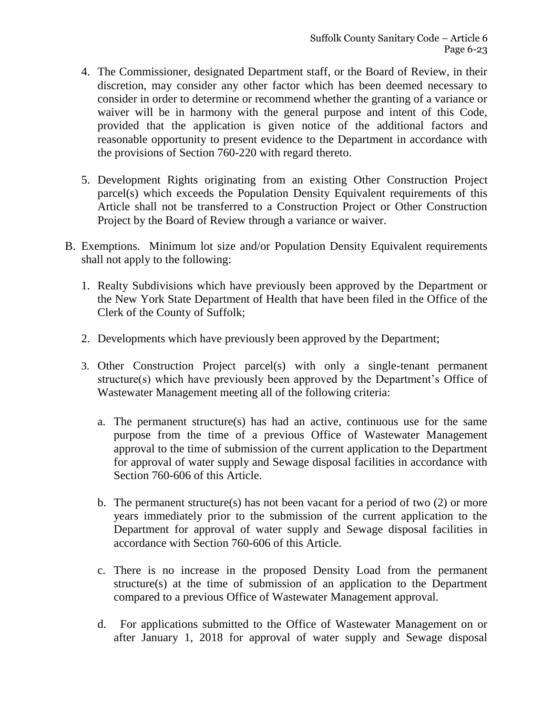- 4. The Commissioner, designated Department staff, or the Board of Review, in their discretion, may consider any other factor which has been deemed necessary to consider in order to determine or recommend whether the granting of a variance or waiver will be in harmony with the general purpose and intent of this Code, provided that the application is given notice of the additional factors and reasonable opportunity to present evidence to the Department in accordance with the provisions of Section 760-220 with regard thereto.
- 5. Development Rights originating from an existing Other Construction Project parcel(s) which exceeds the Population Density Equivalent requirements of this Article shall not be transferred to a Construction Project or Other Construction Project by the Board of Review through a variance or waiver.
- B. Exemptions. Minimum lot size and/or Population Density Equivalent requirements shall not apply to the following:
	- 1. Realty Subdivisions which have previously been approved by the Department or the New York State Department of Health that have been filed in the Office of the Clerk of the County of Suffolk;
	- 2. Developments which have previously been approved by the Department;
	- 3. Other Construction Project parcel(s) with only a single-tenant permanent structure(s) which have previously been approved by the Department's Office of Wastewater Management meeting all of the following criteria:
		- a. The permanent structure(s) has had an active, continuous use for the same purpose from the time of a previous Office of Wastewater Management approval to the time of submission of the current application to the Department for approval of water supply and Sewage disposal facilities in accordance with Section 760-606 of this Article.
		- b. The permanent structure(s) has not been vacant for a period of two  $(2)$  or more years immediately prior to the submission of the current application to the Department for approval of water supply and Sewage disposal facilities in accordance with Section 760-606 of this Article.
		- c. There is no increase in the proposed Density Load from the permanent structure(s) at the time of submission of an application to the Department compared to a previous Office of Wastewater Management approval.
		- d. For applications submitted to the Office of Wastewater Management on or after January 1, 2018 for approval of water supply and Sewage disposal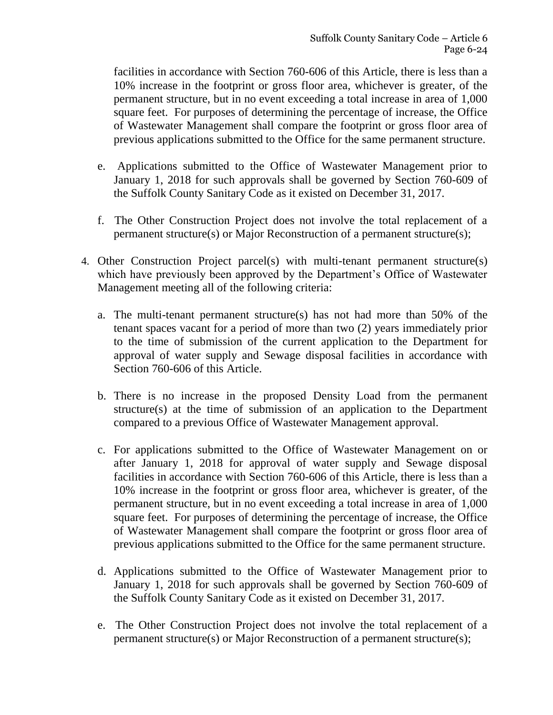facilities in accordance with Section 760-606 of this Article, there is less than a 10% increase in the footprint or gross floor area, whichever is greater, of the permanent structure, but in no event exceeding a total increase in area of 1,000 square feet. For purposes of determining the percentage of increase, the Office of Wastewater Management shall compare the footprint or gross floor area of previous applications submitted to the Office for the same permanent structure.

- e. Applications submitted to the Office of Wastewater Management prior to January 1, 2018 for such approvals shall be governed by Section 760-609 of the Suffolk County Sanitary Code as it existed on December 31, 2017.
- f. The Other Construction Project does not involve the total replacement of a permanent structure(s) or Major Reconstruction of a permanent structure(s);
- 4. Other Construction Project parcel(s) with multi-tenant permanent structure(s) which have previously been approved by the Department's Office of Wastewater Management meeting all of the following criteria:
	- a. The multi-tenant permanent structure(s) has not had more than 50% of the tenant spaces vacant for a period of more than two (2) years immediately prior to the time of submission of the current application to the Department for approval of water supply and Sewage disposal facilities in accordance with Section 760-606 of this Article.
	- b. There is no increase in the proposed Density Load from the permanent structure(s) at the time of submission of an application to the Department compared to a previous Office of Wastewater Management approval.
	- c. For applications submitted to the Office of Wastewater Management on or after January 1, 2018 for approval of water supply and Sewage disposal facilities in accordance with Section 760-606 of this Article, there is less than a 10% increase in the footprint or gross floor area, whichever is greater, of the permanent structure, but in no event exceeding a total increase in area of 1,000 square feet. For purposes of determining the percentage of increase, the Office of Wastewater Management shall compare the footprint or gross floor area of previous applications submitted to the Office for the same permanent structure.
	- d. Applications submitted to the Office of Wastewater Management prior to January 1, 2018 for such approvals shall be governed by Section 760-609 of the Suffolk County Sanitary Code as it existed on December 31, 2017.
	- e. The Other Construction Project does not involve the total replacement of a permanent structure(s) or Major Reconstruction of a permanent structure(s);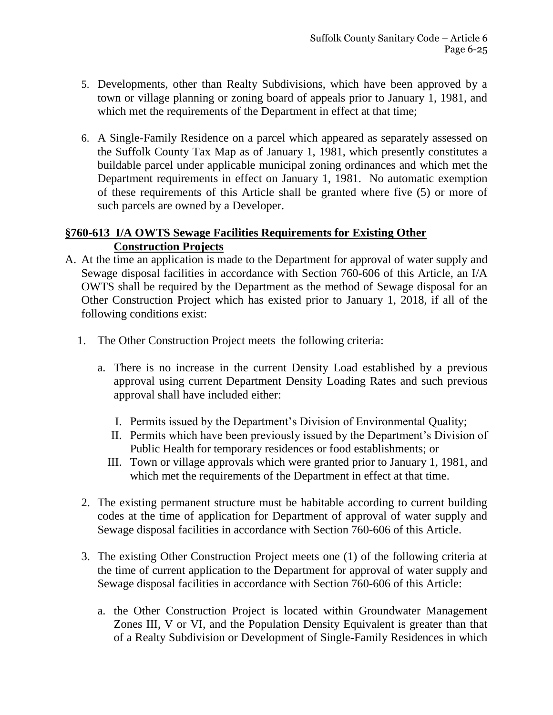- 5. Developments, other than Realty Subdivisions, which have been approved by a town or village planning or zoning board of appeals prior to January 1, 1981, and which met the requirements of the Department in effect at that time;
- 6. A Single-Family Residence on a parcel which appeared as separately assessed on the Suffolk County Tax Map as of January 1, 1981, which presently constitutes a buildable parcel under applicable municipal zoning ordinances and which met the Department requirements in effect on January 1, 1981. No automatic exemption of these requirements of this Article shall be granted where five (5) or more of such parcels are owned by a Developer.

## **§760-613 I/A OWTS Sewage Facilities Requirements for Existing Other Construction Projects**

- A. At the time an application is made to the Department for approval of water supply and Sewage disposal facilities in accordance with Section 760-606 of this Article, an I/A OWTS shall be required by the Department as the method of Sewage disposal for an Other Construction Project which has existed prior to January 1, 2018, if all of the following conditions exist:
	- 1. The Other Construction Project meets the following criteria:
		- a. There is no increase in the current Density Load established by a previous approval using current Department Density Loading Rates and such previous approval shall have included either:
			- I. Permits issued by the Department's Division of Environmental Quality;
			- II. Permits which have been previously issued by the Department's Division of Public Health for temporary residences or food establishments; or
			- III. Town or village approvals which were granted prior to January 1, 1981, and which met the requirements of the Department in effect at that time.
	- 2. The existing permanent structure must be habitable according to current building codes at the time of application for Department of approval of water supply and Sewage disposal facilities in accordance with Section 760-606 of this Article.
	- 3. The existing Other Construction Project meets one (1) of the following criteria at the time of current application to the Department for approval of water supply and Sewage disposal facilities in accordance with Section 760-606 of this Article:
		- a. the Other Construction Project is located within Groundwater Management Zones III, V or VI, and the Population Density Equivalent is greater than that of a Realty Subdivision or Development of Single-Family Residences in which